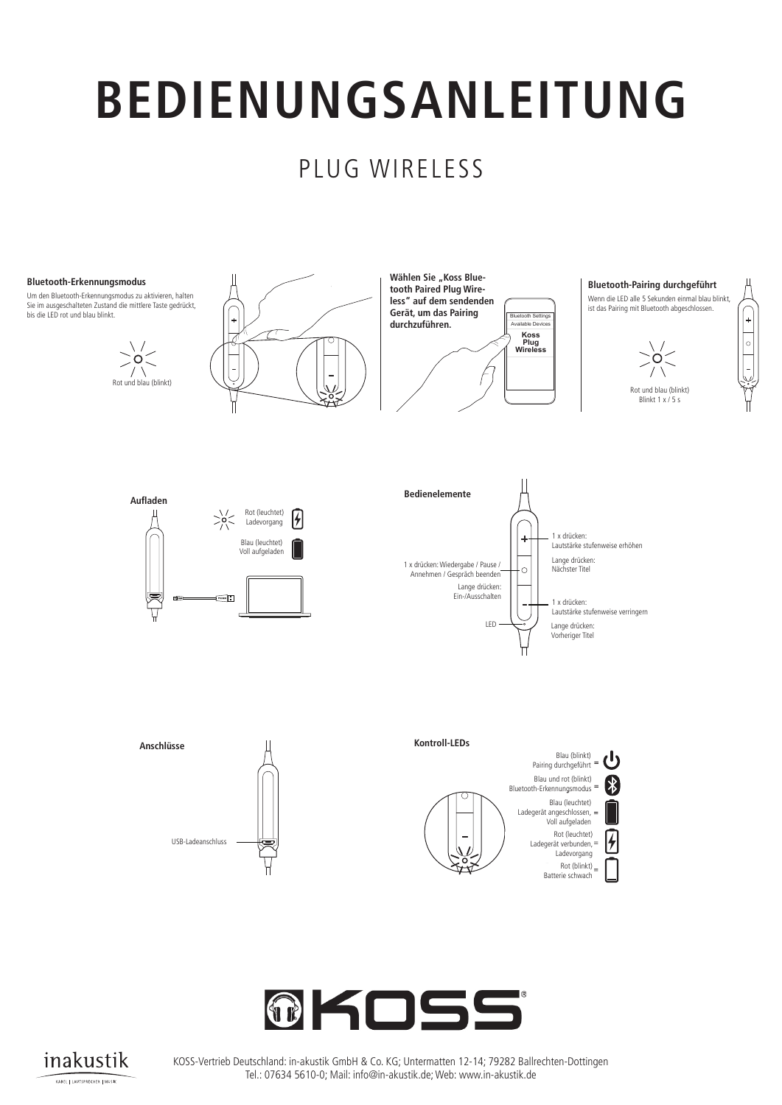### PLUG WIRELESS

#### **Bluetooth-Erkennungsmodus**

**Bluetooth Frkennungsmodus** zu akti Sie im ausgeschalteten Zustand die mittlere Taste bis die LED rot und blau blinkt. light flashes red and blue. **Bluetooth-Erkennungsmodus**<br>الحملة العام العام العام العام العام العام العام العام العام العام العام العام العام العام العام العام العام ا Um den Bluetooth-Erkennungsmodus zu aktivieren, halten<br>Sie im ausgeschalteten Zustand die mittlere Taste gedrückt, light flashes red and blue.

**Operation is subject to the following two conditions: Operation is subject to the following two conditions: Aufladen** (1) this device may not cause interference, and





 $\sqrt{2}$  Rot (leuchtet)

 $\sqrt{2}$ 

able Devices both Settings **Plug Wireless"**<br>**Plug Wireless Wireless"**<br>Contitions and as Political **device to pair in the indicator concerned to pair and the indicator of the device is pairing Koss Plug Wireless** Available Devices Bluetooth Settings **Koss Plug Wireless** durchzuführen. Wählen Sie "Koss Blue-

**Example 3 Bedienelemente**  $\begin{array}{ccc}\uparrow\downarrow\end{array}$ 

 $\overline{\mathcal{D}}$  $\log n$ 

**Charging Controls Ports Light Language**

 $\overline{\mathcal{D}}$  $\log n$ 

- Do not leave your devices in close proximity to open ames or extreme sources of heat.

- Do not leave your devices in close proximity to open ames or extreme sources of heat.

### ist das Pairing mit Bluetooth abgeschlossen.<br>. **Charging Controls Ports Light Language Bluetooth-Pairing durchgeführt** Wenn die LED alle 5 Sekunden einmal blau blinkt,

**WARNING Caution:**

**WARNING Caution:**

Product features and specifications are subject to change without notice. Product may vary from images shown.



**WARNING Caution:**

CE Warning

**Single Press: Incremental volume decrease** Lautstärke stufenweise verringern

 $\begin{array}{ccc} \text{Bedienenter} \end{array}$ 

Nächster Titel

1 x drücken:

1 x drücken:

Lange drücken: Vorheriger Titel

**1-YEAR LIMITED WARRANTY**



USS Charges Charges Charges Charges Charges Charges Charges Charges Charges Charges Charges Charges Charges Ch

**1-YEAR LIMITED WARRANTY**

Listen at moderate volumes to avoid hearing damage.

relevant provisions of Directive 2014/53/EU.

Koss-UK Ltd., Registered Office Address One New Change, London, EC4M 9AF / UK For warranty information visit www.koss.com.

This equipment is in compliance with the essential requirements and other







KOSS-Vertrieb Deutschland: in-akustik GmbH & Co. KG; Untermatten 12-14; 79282 Ballrechten-Dottingen Tel.: 07634 5610-0; Mail: info@in-akustik.de; Web: www.in-akustik.de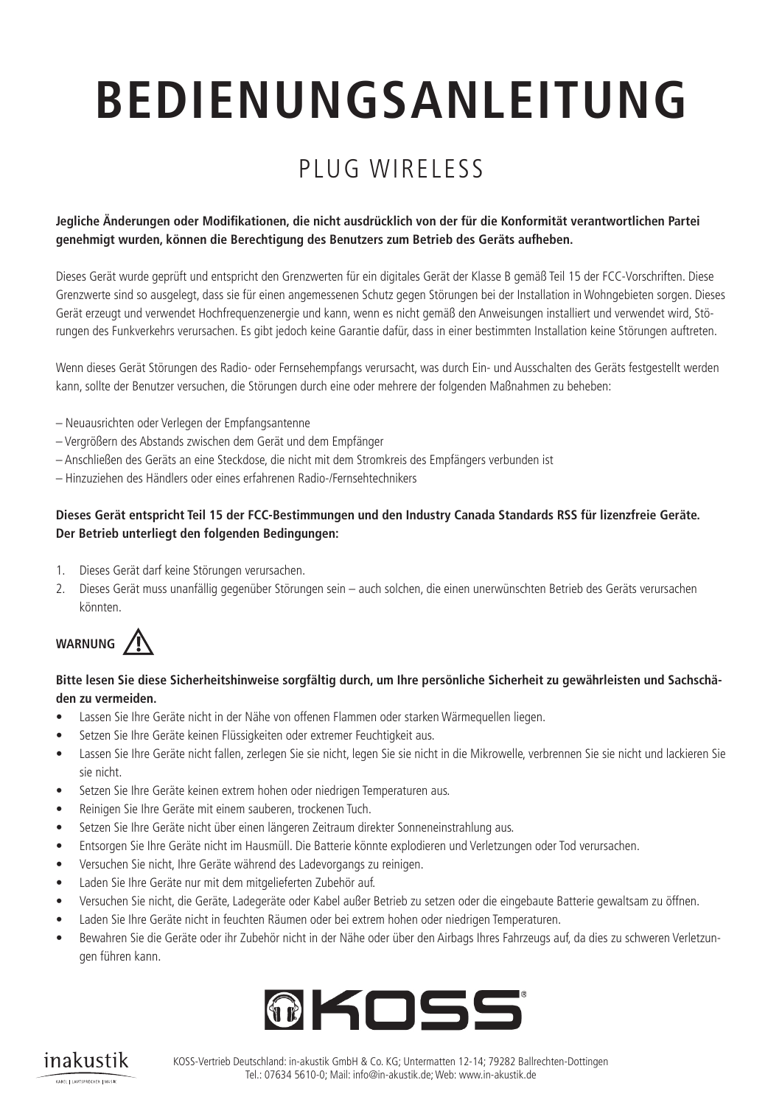## PLUG WIRELESS

#### Jegliche Änderungen oder Modifikationen, die nicht ausdrücklich von der für die Konformität verantwortlichen Partei **genehmigt wurden, können die Berechtigung des Benutzers zum Betrieb des Geräts aufheben. on transmitting**  When the indicator light flashes blue once

Dieses Gerät wurde geprüft und entspricht den Grenzwerten für ein digitales Gerät der Klasse B gemäß Teil 15 der FCC-Vorschriften. Diese Available Devices Grenzwerte sind so ausgelegt, dass sie für einen angemessenen Schutz gegen Störungen bei der Installation in Wohngebieten sorgen. Dieses Gerät erzeugt und verwendet Hochfrequenzenergie und kann, wenn es nicht gemäß den Anweisungen installiert und verwendet wird, Stö-**Koss** rungen des Funkverkehrs verursachen. Es gibt jedoch keine Garantie dafür, dass in einer bestimmten Installation keine Störungen auftreten. **Plug deviated**<br>**deviated** approxit und ontenvieht de **Wireless** in the water leil 15 der FCC-

Wenn dieses Gerät Störungen des Radio- oder Fernsehempfangs verursacht, was durch Ein- und Ausschalten des Geräts festgestellt werden kann, sollte der Benutzer versuchen, die Störungen durch eine oder mehrere der folgenden Maßnahmen zu beheben:

- Neuausrichten oder Verlegen der Empfangsantenne
- Vergrößern des Abstands zwischen dem Gerät und dem Empfänger
- Anschließen des Geräts an eine Steckdose, die nicht mit dem Stromkreis des Empfängers verbunden ist
- Hinzuziehen des Händlers oder eines erfahrenen Radio-/Fernsehtechnikers

#### **Dieses Gerät entspricht Teil 15 der FCC-Bestimmungen und den Industry Canada Standards RSS für lizenzfreie Geräte. Der Betrieb unterliegt den folgenden Bedingungen:**

- 1. Dieses Gerät darf keine Störungen verursachen.
- 2. Dieses Gerät muss unanfällig gegenüber Störungen sein auch solchen, die einen unerwünschten Betrieb des Geräts verursachen könnten.



#### Bitte lesen Sie diese Sicherheitshinweise sorgfältig durch, um Ihre persönliche Sicherheit zu gewährleisten und Sachschä**den zu vermeiden.** - Do not leave your devices in close proximity to open ames or extreme sources of heat.

- III Lassen Sie Ihre Geräte nicht in der Nähe von offenen Flammen oder starken Wärmequellen liegen.<br>• III Lassen Sie Ihre Geräte nicht in der Nähe von offenen Flammen oder starken Wärmequellen liegen. - Do not drop, disassemble, microwave, incinerate or paint your devices.
- Setzen Sie Ihre Geräte keinen Flüssigkeiten oder extremer Feuchtigkeit aus. Do not expose your devices to extreme high or low temperatures.
- Lassen Sie Ihre Geräte nicht fallen, zerlegen Sie sie nicht, legen Sie sie nicht in die Mikrowelle, verbrennen Sie sie nicht und lackieren Sie sie nicht. - Do not leave your devices in direct sunlight for an extended period of time.
- Setzen Sie Ihre Geräte keinen extrem hohen oder niedrigen Temperaturen aus.
- Reinigen Sie Ihre Geräte mit einem sauberen, trockenen Tuch.
- Setzen Sie Ihre Geräte nicht über einen längeren Zeitraum direkter Sonneneinstrahlung aus.
- Entsorgen Sie Ihre Geräte nicht im Hausmüll. Die Batterie könnte explodieren und Verletzungen oder Tod verursachen.
- Versuchen Sie nicht, Ihre Geräte während des Ladevorgangs zu reinigen.
- Laden Sie Ihre Geräte nur mit dem mitgelieferten Zubehör auf.
- Versuchen Sie nicht, die Geräte, Ladegeräte oder Kabel außer Betrieb zu setzen oder die eingebaute Batterie gewaltsam zu öffnen.
- Laden Sie Ihre Geräte nicht in feuchten Räumen oder bei extrem hohen oder niedrigen Temperaturen.
- Bewahren Sie die Geräte oder ihr Zubehör nicht in der Nähe oder über den Airbags Ihres Fahrzeugs auf, da dies zu schweren Verletzungen führen kann.



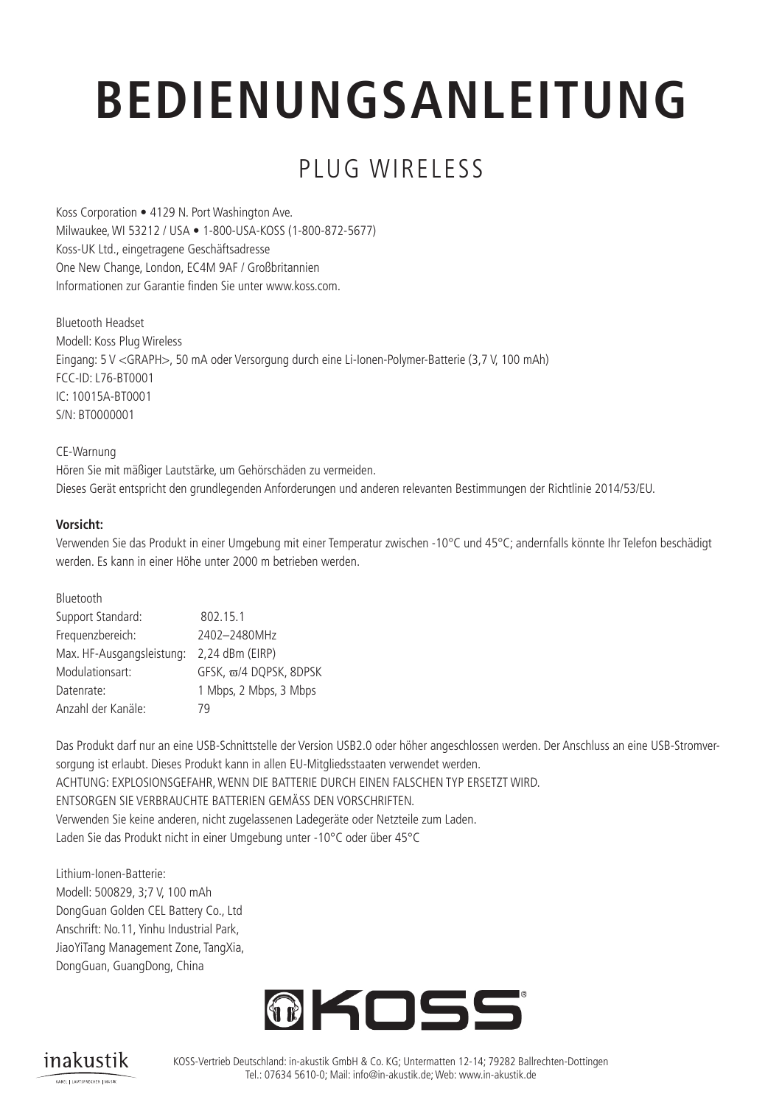## PLUG WIRELESS

Koss Corporation • 4129 N. Port Washington Ave. Milwaukee, WI 53212 / USA • 1-800-USA-KOSS (1-800-872-5677) Koss-UK Ltd., eingetragene Geschäftsadresse One New Change, London, EC4M 9AF / Großbritannien Informationen zur Garantie finden Sie unter www.koss.com.

Bluetooth Headset Modell: Koss Plug Wireless Eingang: 5 V <GRAPH>, 50 mA oder Versorgung durch eine Li-Ionen-Polymer-Batterie (3,7 V, 100 mAh) FCC-ID: L76-BT0001 IC: 10015A-BT0001 S/N: BT0000001

CE-Warnung Hören Sie mit mäßiger Lautstärke, um Gehörschäden zu vermeiden. Dieses Gerät entspricht den grundlegenden Anforderungen und anderen relevanten Bestimmungen der Richtlinie 2014/53/EU.

#### **Vorsicht:**

Verwenden Sie das Produkt in einer Umgebung mit einer Temperatur zwischen -10°C und 45°C; andernfalls könnte Ihr Telefon beschädigt werden. Es kann in einer Höhe unter 2000 m betrieben werden.

| Bluetooth                 |                        |
|---------------------------|------------------------|
| Support Standard:         | 802.15.1               |
| Frequenzbereich:          | 2402-2480MHz           |
| Max. HF-Ausgangsleistung: | 2,24 dBm (EIRP)        |
| Modulationsart:           | GFSK, ω/4 DQPSK, 8DPSK |
| Datenrate:                | 1 Mbps, 2 Mbps, 3 Mbps |
| Anzahl der Kanäle:        | 79                     |

Das Produkt darf nur an eine USB-Schnittstelle der Version USB2.0 oder höher angeschlossen werden. Der Anschluss an eine USB-Stromversorgung ist erlaubt. Dieses Produkt kann in allen EU-Mitgliedsstaaten verwendet werden. ACHTUNG: EXPLOSIONSGEFAHR, WENN DIE BATTERIE DURCH EINEN FALSCHEN TYP ERSETZT WIRD. ENTSORGEN SIE VERBRAUCHTE BATTERIEN GEMÄSS DEN VORSCHRIFTEN. Verwenden Sie keine anderen, nicht zugelassenen Ladegeräte oder Netzteile zum Laden. Laden Sie das Produkt nicht in einer Umgebung unter -10°C oder über 45°C

Lithium-Ionen-Batterie: Modell: 500829, 3;7 V, 100 mAh DongGuan Golden CEL Battery Co., Ltd Anschrift: No.11, Yinhu Industrial Park, JiaoYiTang Management Zone, TangXia, DongGuan, GuangDong, China



inakustik KABEL | LAUTSPRECHER | MUSIK